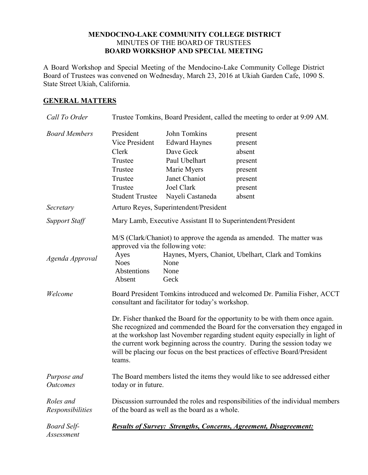## **MENDOCINO-LAKE COMMUNITY COLLEGE DISTRICT** MINUTES OF THE BOARD OF TRUSTEES **BOARD WORKSHOP AND SPECIAL MEETING**

A Board Workshop and Special Meeting of the Mendocino-Lake Community College District Board of Trustees was convened on Wednesday, March 23, 2016 at Ukiah Garden Cafe, 1090 S. State Street Ukiah, California.

## **GENERAL MATTERS**

| Call To Order                    | Trustee Tomkins, Board President, called the meeting to order at 9:09 AM.                                                                                                                                                                                                                                                                                                                                            |                                                                                                                                      |                                                                                                                             |  |
|----------------------------------|----------------------------------------------------------------------------------------------------------------------------------------------------------------------------------------------------------------------------------------------------------------------------------------------------------------------------------------------------------------------------------------------------------------------|--------------------------------------------------------------------------------------------------------------------------------------|-----------------------------------------------------------------------------------------------------------------------------|--|
| <b>Board Members</b>             | President<br>Vice President<br>Clerk<br>Trustee<br>Trustee<br>Trustee<br>Trustee<br><b>Student Trustee</b>                                                                                                                                                                                                                                                                                                           | John Tomkins<br><b>Edward Haynes</b><br>Dave Geck<br>Paul Ubelhart<br>Marie Myers<br>Janet Chaniot<br>Joel Clark<br>Nayeli Castaneda | present<br>present<br>absent<br>present<br>present<br>present<br>present<br>absent                                          |  |
| Secretary                        | Arturo Reyes, Superintendent/President                                                                                                                                                                                                                                                                                                                                                                               |                                                                                                                                      |                                                                                                                             |  |
| <b>Support Staff</b>             | Mary Lamb, Executive Assistant II to Superintendent/President                                                                                                                                                                                                                                                                                                                                                        |                                                                                                                                      |                                                                                                                             |  |
| Agenda Approval                  | approved via the following vote:<br>Ayes<br><b>Noes</b><br>Abstentions<br>Absent                                                                                                                                                                                                                                                                                                                                     | None<br>None<br>Geck                                                                                                                 | M/S (Clark/Chaniot) to approve the agenda as amended. The matter was<br>Haynes, Myers, Chaniot, Ubelhart, Clark and Tomkins |  |
| Welcome                          | Board President Tomkins introduced and welcomed Dr. Pamilia Fisher, ACCT<br>consultant and facilitator for today's workshop.                                                                                                                                                                                                                                                                                         |                                                                                                                                      |                                                                                                                             |  |
|                                  | Dr. Fisher thanked the Board for the opportunity to be with them once again.<br>She recognized and commended the Board for the conversation they engaged in<br>at the workshop last November regarding student equity especially in light of<br>the current work beginning across the country. During the session today we<br>will be placing our focus on the best practices of effective Board/President<br>teams. |                                                                                                                                      |                                                                                                                             |  |
| Purpose and<br><b>Outcomes</b>   | The Board members listed the items they would like to see addressed either<br>today or in future.                                                                                                                                                                                                                                                                                                                    |                                                                                                                                      |                                                                                                                             |  |
| Roles and<br>Responsibilities    | Discussion surrounded the roles and responsibilities of the individual members<br>of the board as well as the board as a whole.                                                                                                                                                                                                                                                                                      |                                                                                                                                      |                                                                                                                             |  |
| <b>Board Self-</b><br>Assessment |                                                                                                                                                                                                                                                                                                                                                                                                                      |                                                                                                                                      | <b>Results of Survey: Strengths, Concerns, Agreement, Disagreement:</b>                                                     |  |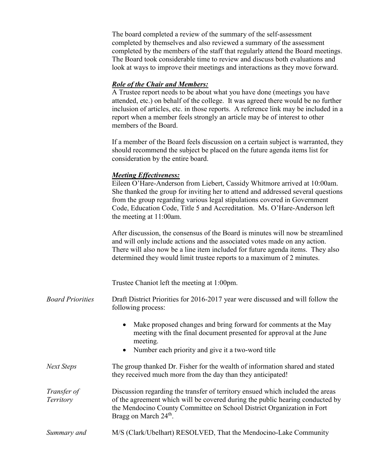The board completed a review of the summary of the self-assessment completed by themselves and also reviewed a summary of the assessment completed by the members of the staff that regularly attend the Board meetings. The Board took considerable time to review and discuss both evaluations and look at ways to improve their meetings and interactions as they move forward.

## *Role of the Chair and Members:*

A Trustee report needs to be about what you have done (meetings you have attended, etc.) on behalf of the college. It was agreed there would be no further inclusion of articles, etc. in those reports. A reference link may be included in a report when a member feels strongly an article may be of interest to other members of the Board.

If a member of the Board feels discussion on a certain subject is warranted, they should recommend the subject be placed on the future agenda items list for consideration by the entire board.

## *Meeting Effectiveness:*

Eileen O'Hare-Anderson from Liebert, Cassidy Whitmore arrived at 10:00am. She thanked the group for inviting her to attend and addressed several questions from the group regarding various legal stipulations covered in Government Code, Education Code, Title 5 and Accreditation. Ms. O'Hare-Anderson left the meeting at 11:00am.

After discussion, the consensus of the Board is minutes will now be streamlined and will only include actions and the associated votes made on any action. There will also now be a line item included for future agenda items. They also determined they would limit trustee reports to a maximum of 2 minutes.

Trustee Chaniot left the meeting at 1:00pm.

- *Board Priorities* Draft District Priorities for 2016-2017 year were discussed and will follow the following process:
	- Make proposed changes and bring forward for comments at the May meeting with the final document presented for approval at the June meeting.
	- Number each priority and give it a two-word title
- *Next Steps* The group thanked Dr. Fisher for the wealth of information shared and stated they received much more from the day than they anticipated!

*Transfer of Territory* Discussion regarding the transfer of territory ensued which included the areas of the agreement which will be covered during the public hearing conducted by the Mendocino County Committee on School District Organization in Fort Bragg on March 24<sup>th</sup>.

*Summary and* M/S (Clark/Ubelhart) RESOLVED, That the Mendocino-Lake Community